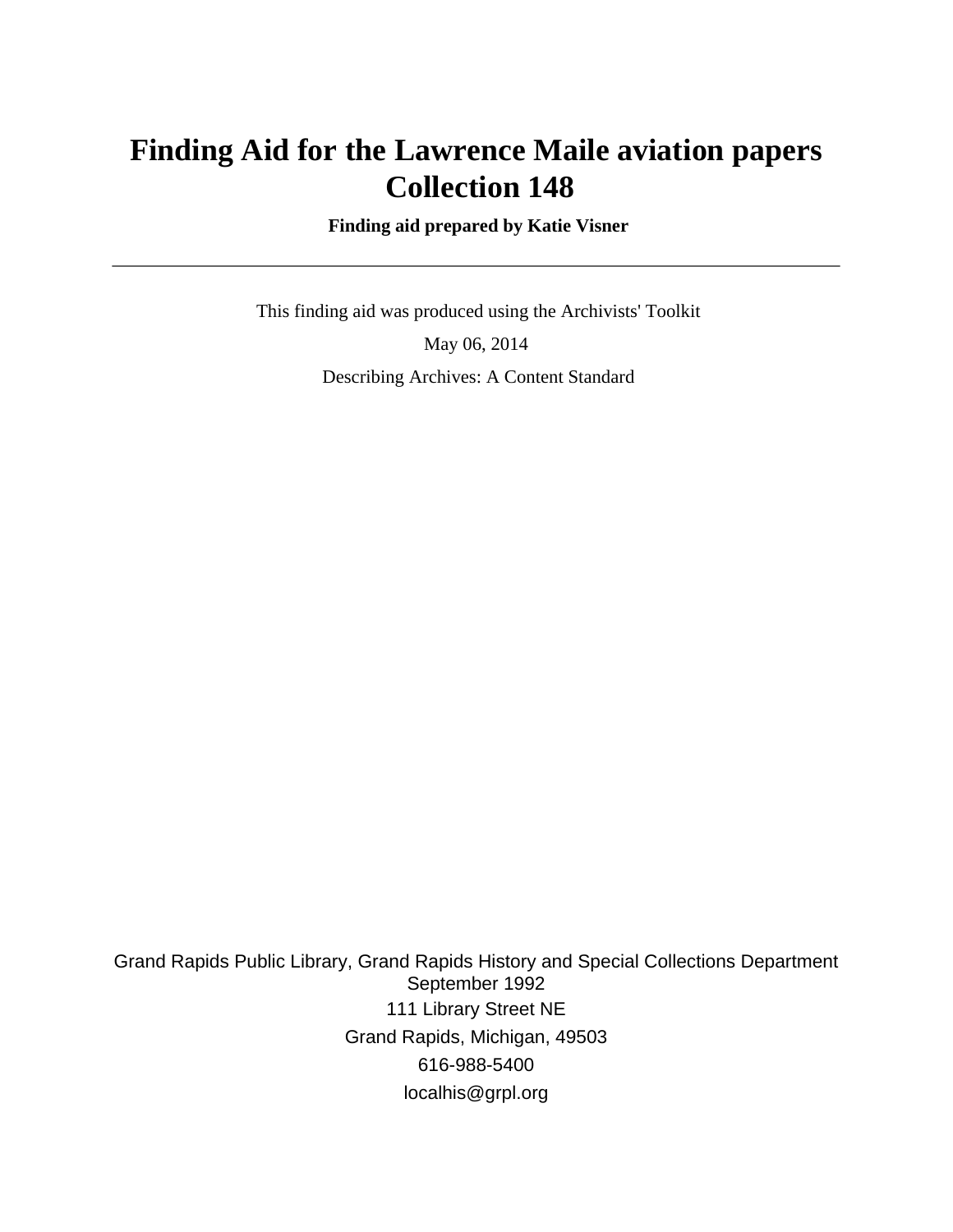# **Finding Aid for the Lawrence Maile aviation papers Collection 148**

 **Finding aid prepared by Katie Visner**

 This finding aid was produced using the Archivists' Toolkit May 06, 2014 Describing Archives: A Content Standard

Grand Rapids Public Library, Grand Rapids History and Special Collections Department September 1992 111 Library Street NE Grand Rapids, Michigan, 49503 616-988-5400 localhis@grpl.org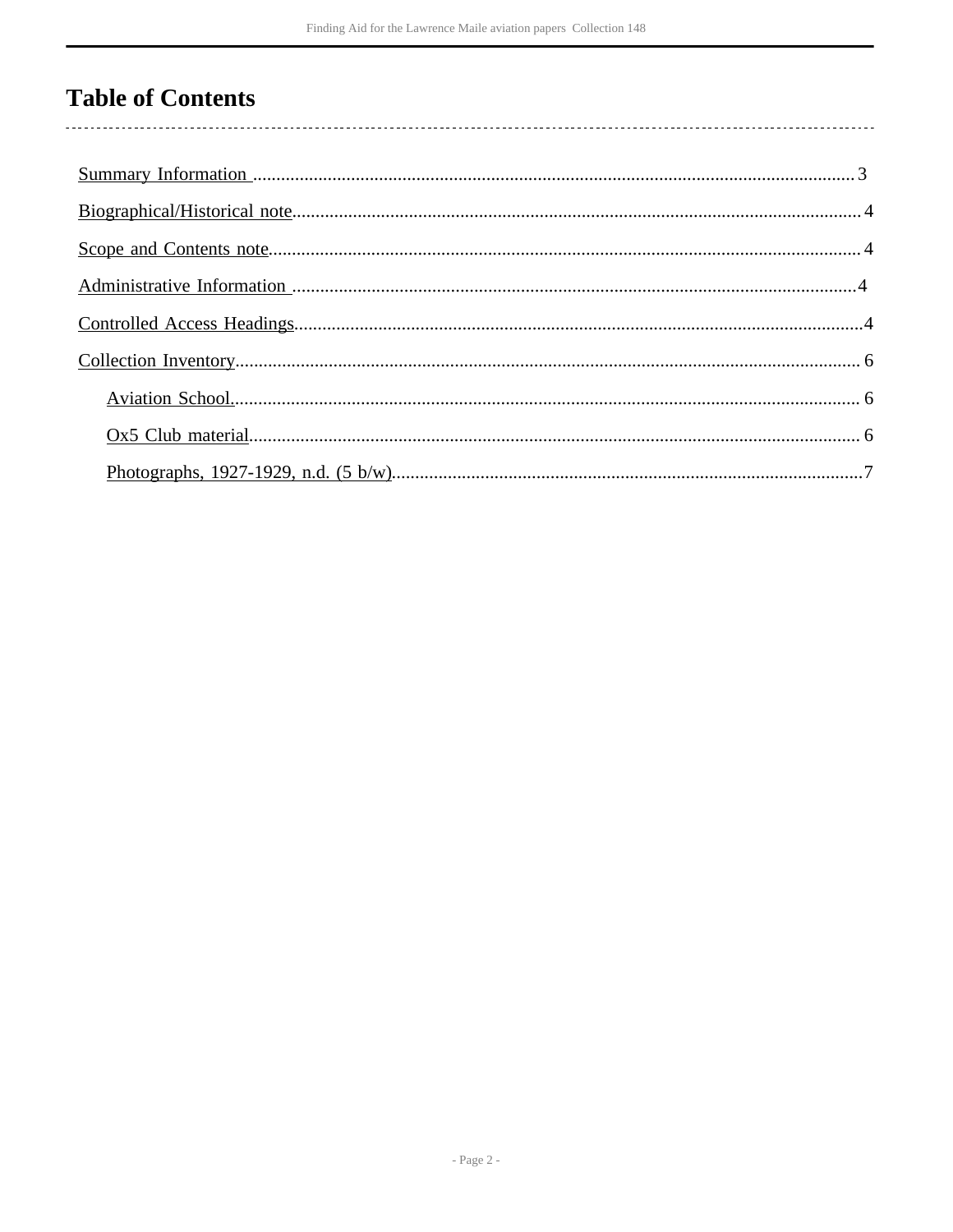## **Table of Contents**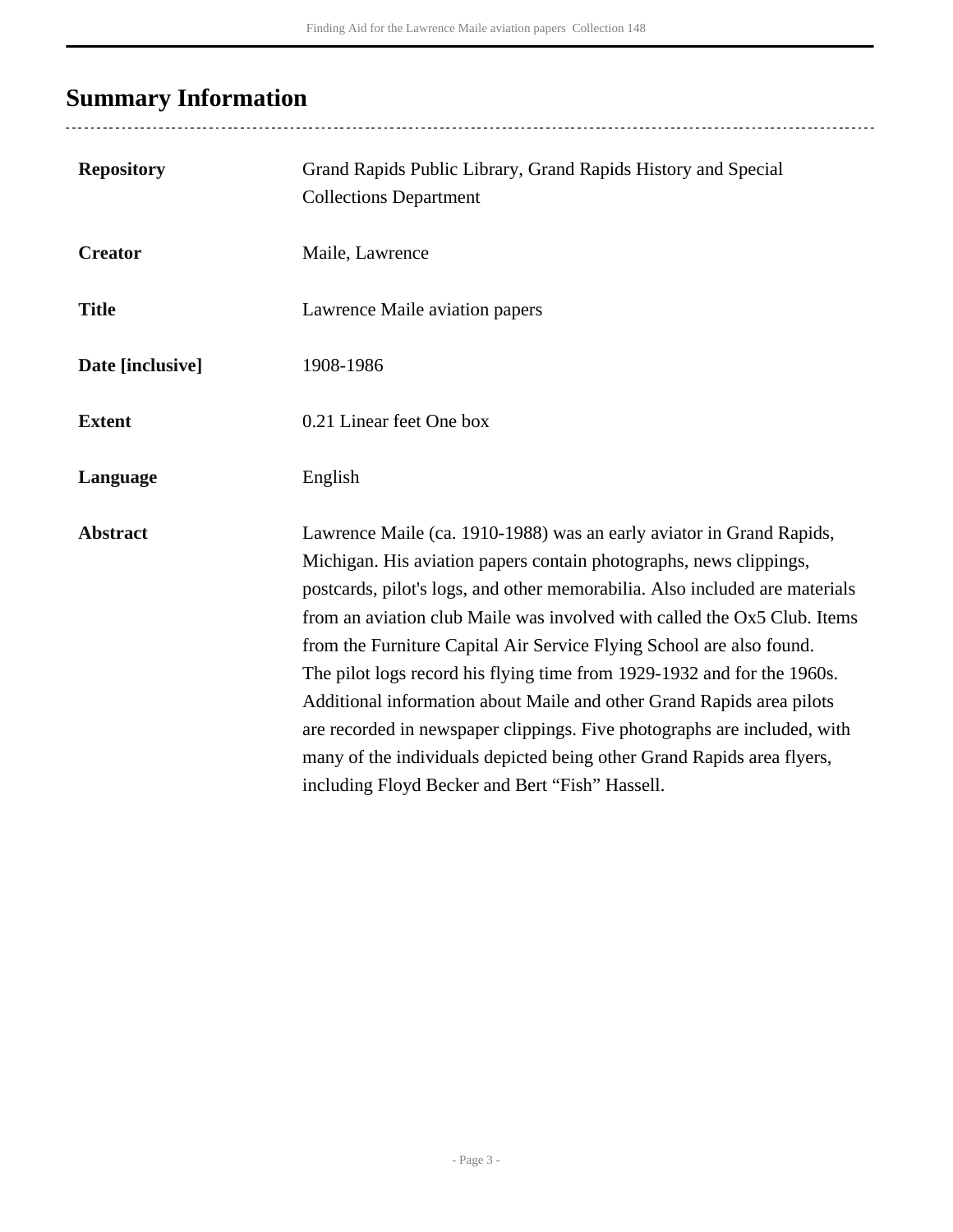# <span id="page-2-0"></span>**Summary Information**

| <b>Repository</b> | Grand Rapids Public Library, Grand Rapids History and Special<br><b>Collections Department</b>                                                                                                                                                                                                                                                                                                                                                                                                                                                                                                                                                                                                                                             |
|-------------------|--------------------------------------------------------------------------------------------------------------------------------------------------------------------------------------------------------------------------------------------------------------------------------------------------------------------------------------------------------------------------------------------------------------------------------------------------------------------------------------------------------------------------------------------------------------------------------------------------------------------------------------------------------------------------------------------------------------------------------------------|
| <b>Creator</b>    | Maile, Lawrence                                                                                                                                                                                                                                                                                                                                                                                                                                                                                                                                                                                                                                                                                                                            |
| <b>Title</b>      | Lawrence Maile aviation papers                                                                                                                                                                                                                                                                                                                                                                                                                                                                                                                                                                                                                                                                                                             |
| Date [inclusive]  | 1908-1986                                                                                                                                                                                                                                                                                                                                                                                                                                                                                                                                                                                                                                                                                                                                  |
| <b>Extent</b>     | 0.21 Linear feet One box                                                                                                                                                                                                                                                                                                                                                                                                                                                                                                                                                                                                                                                                                                                   |
| Language          | English                                                                                                                                                                                                                                                                                                                                                                                                                                                                                                                                                                                                                                                                                                                                    |
| <b>Abstract</b>   | Lawrence Maile (ca. 1910-1988) was an early aviator in Grand Rapids,<br>Michigan. His aviation papers contain photographs, news clippings,<br>postcards, pilot's logs, and other memorabilia. Also included are materials<br>from an aviation club Maile was involved with called the Ox5 Club. Items<br>from the Furniture Capital Air Service Flying School are also found.<br>The pilot logs record his flying time from 1929-1932 and for the 1960s.<br>Additional information about Maile and other Grand Rapids area pilots<br>are recorded in newspaper clippings. Five photographs are included, with<br>many of the individuals depicted being other Grand Rapids area flyers,<br>including Floyd Becker and Bert "Fish" Hassell. |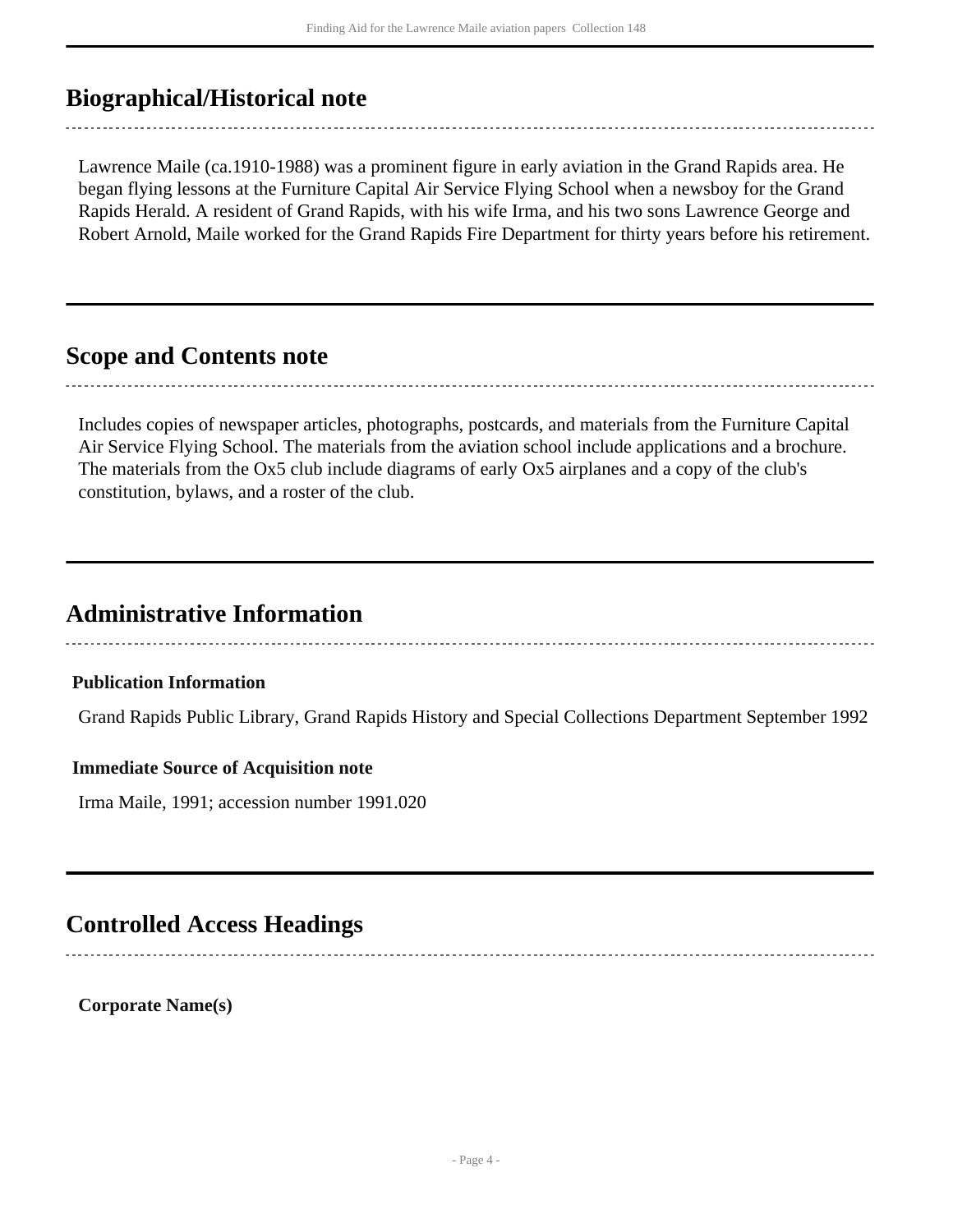## <span id="page-3-0"></span>**Biographical/Historical note**

Lawrence Maile (ca.1910-1988) was a prominent figure in early aviation in the Grand Rapids area. He began flying lessons at the Furniture Capital Air Service Flying School when a newsboy for the Grand Rapids Herald. A resident of Grand Rapids, with his wife Irma, and his two sons Lawrence George and Robert Arnold, Maile worked for the Grand Rapids Fire Department for thirty years before his retirement.

### <span id="page-3-1"></span>**Scope and Contents note**

Includes copies of newspaper articles, photographs, postcards, and materials from the Furniture Capital Air Service Flying School. The materials from the aviation school include applications and a brochure. The materials from the Ox5 club include diagrams of early Ox5 airplanes and a copy of the club's constitution, bylaws, and a roster of the club.

## <span id="page-3-2"></span>**Administrative Information**

#### **Publication Information**

Grand Rapids Public Library, Grand Rapids History and Special Collections Department September 1992

#### **Immediate Source of Acquisition note**

Irma Maile, 1991; accession number 1991.020

### <span id="page-3-3"></span>**Controlled Access Headings**

**Corporate Name(s)**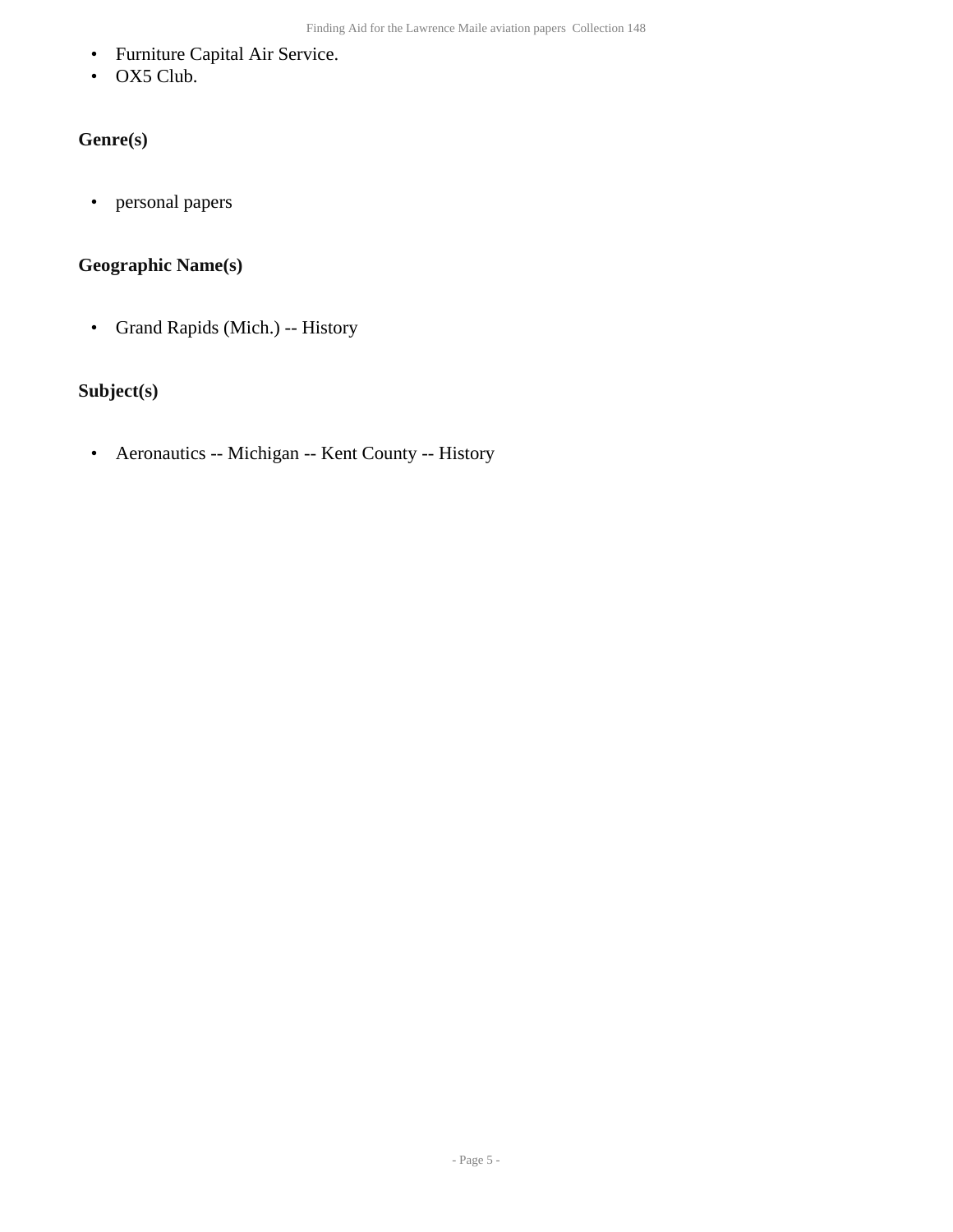- Furniture Capital Air Service.
- OX5 Club.

### **Genre(s)**

• personal papers

#### **Geographic Name(s)**

• Grand Rapids (Mich.) -- History

### **Subject(s)**

• Aeronautics -- Michigan -- Kent County -- History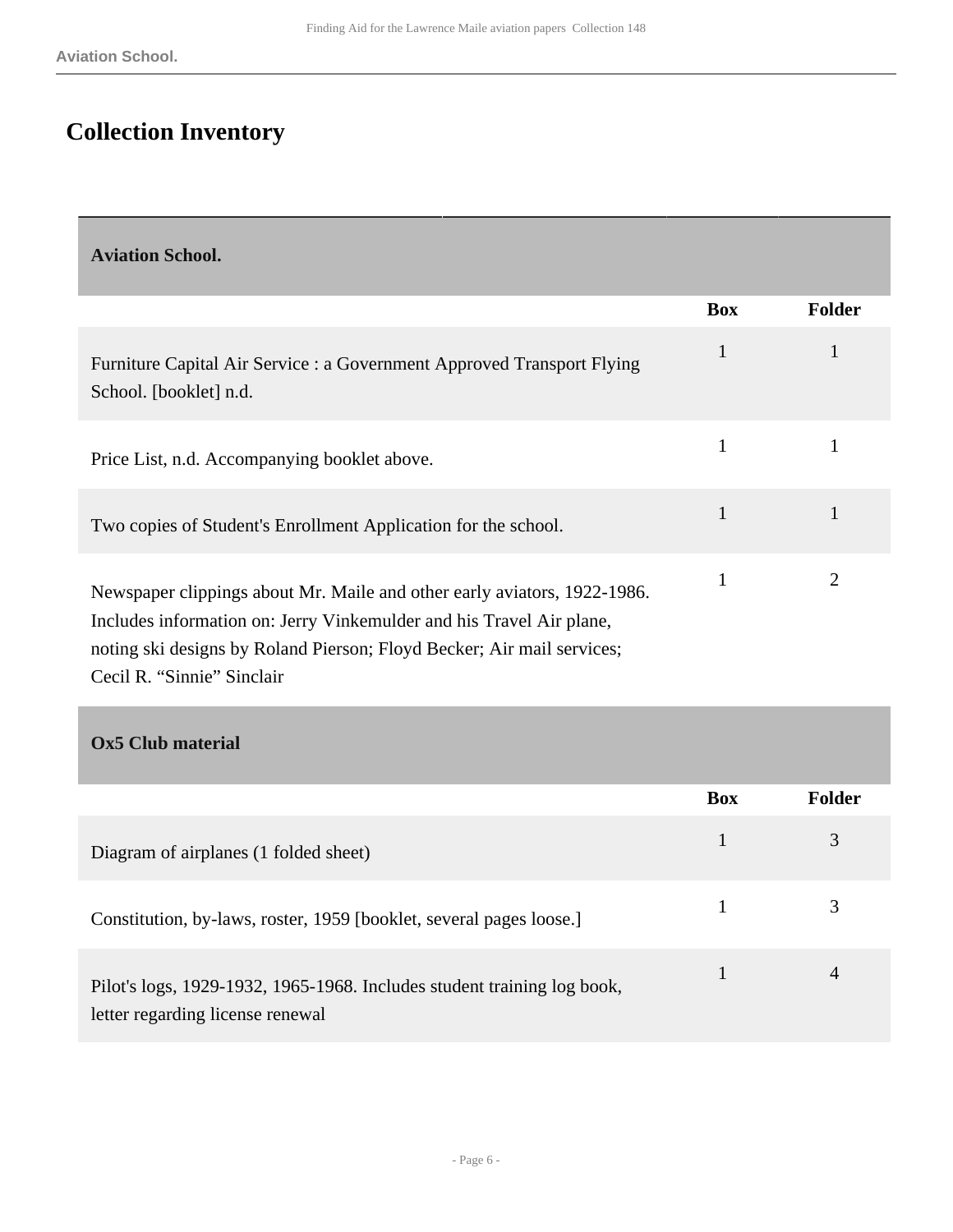# <span id="page-5-0"></span>**Collection Inventory**

<span id="page-5-1"></span>

| <b>Aviation School.</b>                                                                                                                                                                                                                                  |              |                |
|----------------------------------------------------------------------------------------------------------------------------------------------------------------------------------------------------------------------------------------------------------|--------------|----------------|
|                                                                                                                                                                                                                                                          | <b>Box</b>   | <b>Folder</b>  |
| Furniture Capital Air Service : a Government Approved Transport Flying<br>School. [booklet] n.d.                                                                                                                                                         | $\mathbf{1}$ | 1              |
| Price List, n.d. Accompanying booklet above.                                                                                                                                                                                                             | 1            | 1              |
| Two copies of Student's Enrollment Application for the school.                                                                                                                                                                                           | $\mathbf{1}$ | $\mathbf{1}$   |
| Newspaper clippings about Mr. Maile and other early aviators, 1922-1986.<br>Includes information on: Jerry Vinkemulder and his Travel Air plane,<br>noting ski designs by Roland Pierson; Floyd Becker; Air mail services;<br>Cecil R. "Sinnie" Sinclair | 1            | $\overline{2}$ |
| <b>Ox5 Club material</b>                                                                                                                                                                                                                                 |              |                |

<span id="page-5-2"></span>

|                                                                                                             | <b>Box</b> | Folder |
|-------------------------------------------------------------------------------------------------------------|------------|--------|
| Diagram of airplanes (1 folded sheet)                                                                       |            | 3      |
| Constitution, by-laws, roster, 1959 [booklet, several pages loose.]                                         |            |        |
| Pilot's logs, 1929-1932, 1965-1968. Includes student training log book,<br>letter regarding license renewal |            |        |